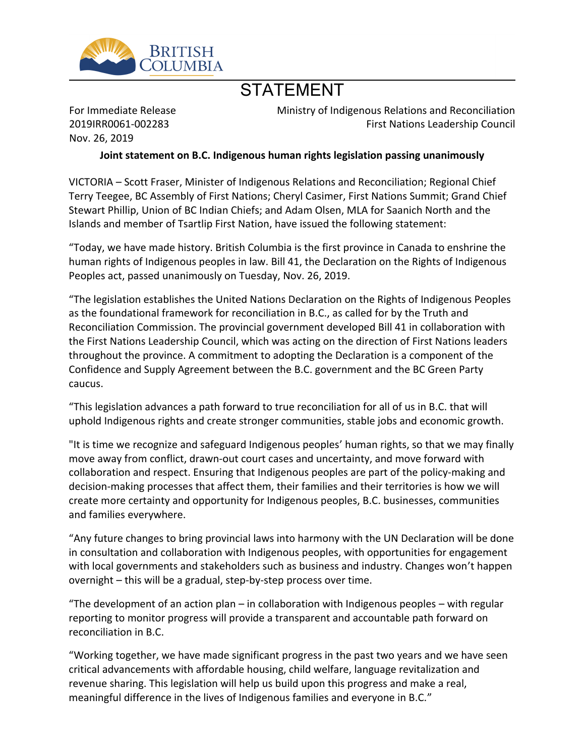

## STATEMENT

For Immediate Release 2019IRR0061-002283 Nov. 26, 2019

Ministry of Indigenous Relations and Reconciliation First Nations Leadership Council

**Joint statement on B.C. Indigenous human rights legislation passing unanimously**

VICTORIA – Scott Fraser, Minister of Indigenous Relations and Reconciliation; Regional Chief Terry Teegee, BC Assembly of First Nations; Cheryl Casimer, First Nations Summit; Grand Chief Stewart Phillip, Union of BC Indian Chiefs; and Adam Olsen, MLA for Saanich North and the Islands and member of Tsartlip First Nation, have issued the following statement:

͞Today, we have made history. British Columbia is the first province in Canada to enshrine the human rights of Indigenous peoples in law. Bill 41, the Declaration on the Rights of Indigenous Peoples act, passed unanimously on Tuesday, Nov. 26, 2019.

͞The legislation establishes the United Nations Declaration on the Rights of Indigenous Peoples as the foundational framework for reconciliation in B.C., as called for by the Truth and Reconciliation Commission. The provincial government developed Bill 41 in collaboration with the First Nations Leadership Council, which was acting on the direction of First Nations leaders throughout the province. A commitment to adopting the Declaration is a component of the Confidence and Supply Agreement between the B.C. government and the BC Green Party caucus.

͞This legislation advances a path forward to true reconciliation for all of us in B.C. that will uphold Indigenous rights and create stronger communities, stable jobs and economic growth.

"It is time we recognize and safeguard Indigenous peoples͛human rights, so that we may finally move away from conflict, drawn-out court cases and uncertainty, and move forward with collaboration and respect. Ensuring that Indigenous peoples are part of the policy-making and decision-making processes that affect them, their families and their territories is how we will create more certainty and opportunity for Indigenous peoples, B.C. businesses, communities and families everywhere.

͞Any future changes to bring provincial laws into harmony with the UN Declaration will be done in consultation and collaboration with Indigenous peoples, with opportunities for engagement with local governments and stakeholders such as business and industry. Changes won't happen overnight – this will be a gradual, step-by-step process over time.

"The development of an action plan  $-$  in collaboration with Indigenous peoples  $-$  with regular reporting to monitor progress will provide a transparent and accountable path forward on reconciliation in B.C.

͞Working together, we have made significant progress in the past two years and we have seen critical advancements with affordable housing, child welfare, language revitalization and revenue sharing. This legislation will help us build upon this progress and make a real, meaningful difference in the lives of Indigenous families and everyone in B.C."